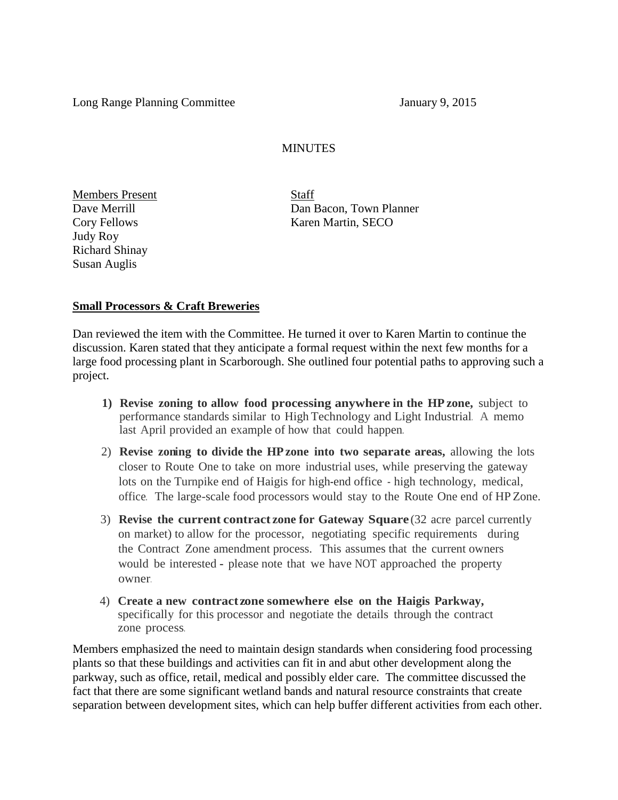Long Range Planning Committee January 9, 2015

#### **MINUTES**

Members Present Staff Judy Roy Richard Shinay Susan Auglis

Dave Merrill Dan Bacon, Town Planner Cory Fellows Karen Martin, SECO

#### **Small Processors & Craft Breweries**

Dan reviewed the item with the Committee. He turned it over to Karen Martin to continue the discussion. Karen stated that they anticipate a formal request within the next few months for a large food processing plant in Scarborough. She outlined four potential paths to approving such a project.

- **1) Revise zoning to allow food processing anywhere in the HP zone,** subject to performance standards similar to High Technology and Light Industrial. A memo last April provided an example of how that could happen.
- 2) **Revise zoning to divide the HPzone into two separate areas,** allowing the lots closer to Route One to take on more industrial uses, while preserving the gateway lots on the Turnpike end of Haigis for high-end office - high technology, medical, office. The large-scale food processors would stay to the Route One end of HP Zone.
- 3) **Revise the current contract zone for Gateway Square** (32 acre parcel currently on market) to allow for the processor, negotiating specific requirements during the Contract Zone amendment process. This assumes that the current owners would be interested - please note that we have NOT approached the property owner.
- 4) **Create a new contractzone somewhere else on the Haigis Parkway,** specifically for this processor and negotiate the details through the contract zone process.

Members emphasized the need to maintain design standards when considering food processing plants so that these buildings and activities can fit in and abut other development along the parkway, such as office, retail, medical and possibly elder care. The committee discussed the fact that there are some significant wetland bands and natural resource constraints that create separation between development sites, which can help buffer different activities from each other.